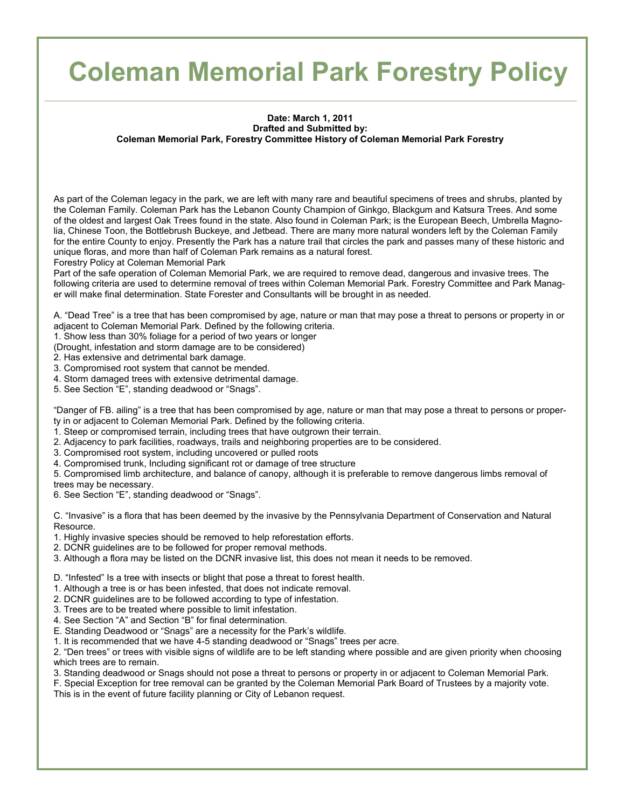## **Coleman Memorial Park Forestry Policy**

## **Date: March 1, 2011 Drafted and Submitted by: Coleman Memorial Park, Forestry Committee History of Coleman Memorial Park Forestry**

As part of the Coleman legacy in the park, we are left with many rare and beautiful specimens of trees and shrubs, planted by the Coleman Family. Coleman Park has the Lebanon County Champion of Ginkgo, Blackgum and Katsura Trees. And some of the oldest and largest Oak Trees found in the state. Also found in Coleman Park; is the European Beech, Umbrella Magnolia, Chinese Toon, the Bottlebrush Buckeye, and Jetbead. There are many more natural wonders left by the Coleman Family for the entire County to enjoy. Presently the Park has a nature trail that circles the park and passes many of these historic and unique floras, and more than half of Coleman Park remains as a natural forest.

Forestry Policy at Coleman Memorial Park

Part of the safe operation of Coleman Memorial Park, we are required to remove dead, dangerous and invasive trees. The following criteria are used to determine removal of trees within Coleman Memorial Park. Forestry Committee and Park Manager will make final determination. State Forester and Consultants will be brought in as needed.

A. "Dead Tree" is a tree that has been compromised by age, nature or man that may pose a threat to persons or property in or adjacent to Coleman Memorial Park. Defined by the following criteria.

1. Show less than 30% foliage for a period of two years or longer

(Drought, infestation and storm damage are to be considered)

2. Has extensive and detrimental bark damage.

- 3. Compromised root system that cannot be mended.
- 4. Storm damaged trees with extensive detrimental damage.
- 5. See Section "E", standing deadwood or "Snags".

"Danger of FB. ailing" is a tree that has been compromised by age, nature or man that may pose a threat to persons or property in or adjacent to Coleman Memorial Park. Defined by the following criteria.

- 1. Steep or compromised terrain, including trees that have outgrown their terrain.
- 2. Adjacency to park facilities, roadways, trails and neighboring properties are to be considered.
- 3. Compromised root system, including uncovered or pulled roots
- 4. Compromised trunk, Including significant rot or damage of tree structure

5. Compromised limb architecture, and balance of canopy, although it is preferable to remove dangerous limbs removal of trees may be necessary.

6. See Section "E", standing deadwood or "Snags".

C. "Invasive" is a flora that has been deemed by the invasive by the Pennsylvania Department of Conservation and Natural Resource.

- 1. Highly invasive species should be removed to help reforestation efforts.
- 2. DCNR guidelines are to be followed for proper removal methods.
- 3. Although a flora may be listed on the DCNR invasive list, this does not mean it needs to be removed.

D. "Infested" Is a tree with insects or blight that pose a threat to forest health.

- 1. Although a tree is or has been infested, that does not indicate removal.
- 2. DCNR guidelines are to be followed according to type of infestation.
- 3. Trees are to be treated where possible to limit infestation.
- 4. See Section "A" and Section "B" for final determination.

E. Standing Deadwood or "Snags" are a necessity for the Park's wildlife.

1. It is recommended that we have 4-5 standing deadwood or "Snags" trees per acre.

2. "Den trees" or trees with visible signs of wildlife are to be left standing where possible and are given priority when choosing which trees are to remain.

3. Standing deadwood or Snags should not pose a threat to persons or property in or adjacent to Coleman Memorial Park.

F. Special Exception for tree removal can be granted by the Coleman Memorial Park Board of Trustees by a majority vote. This is in the event of future facility planning or City of Lebanon request.